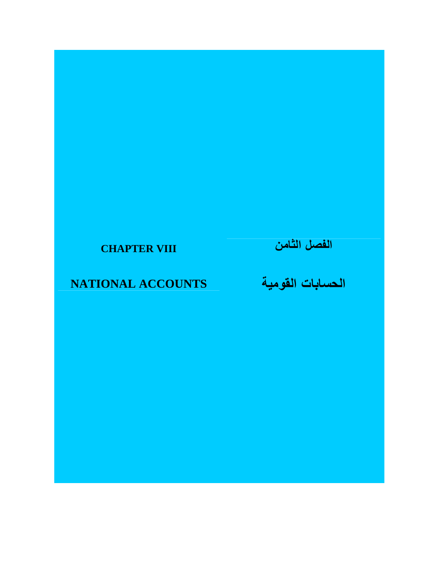## **CHAPTER VIII**

## **الحسابات القومية NATIONAL ACCOUNTS**

**الفصل الثامن**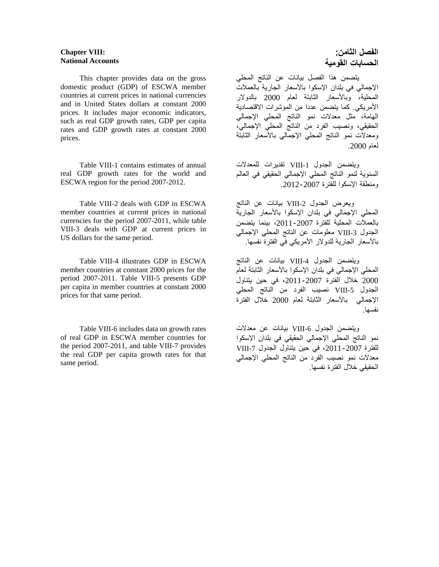## **Chapter VIII: National Accounts**

 This chapter provides data on the gross domestic product (GDP) of ESCWA member countries at current prices in national currencies and in United States dollars at constant 2000 prices. It includes major economic indicators, such as real GDP growth rates, GDP per capita rates and GDP growth rates at constant 2000 prices.

 Table VIII-1 contains estimates of annual real GDP growth rates for the world and ESCWA region for the period 2007-2012.

 Table VIII-2 deals with GDP in ESCWA member countries at current prices in national currencies for the period 2007-2011, while table VIII-3 deals with GDP at current prices in US dollars for the same period.

 Table VIII-4 illustrates GDP in ESCWA member countries at constant 2000 prices for the period 2007-2011. Table VIII-5 presents GDP per capita in member countries at constant 2000 prices for that same period.

 Table VIII-6 includes data on growth rates of real GDP in ESCWA member countries for the period 2007-2011, and table VIII-7 provides the real GDP per capita growth rates for that same period.

## **الفصل الثامن: الحسابات القومية**

 يتضمن ھذا الفصل بيانات عن الناتج المحلي اإلجمالي في بلدان اإلسكوا باألسعار الجارية بالعمالت المحلية، وباألسعار الثابتة لعام 2000 بالدوالر األمريكي. كما يتضمن عددا من المؤشرات االقتصادية الھامة، مثل معدالت نمو الناتج المحلي اإلجمالي الحقيقي، ونصيب الفرد من الناتج المحلي اإلجمالي، ومعدالت نمو الناتج المحلي اإلجمالي باألسعار الثابتة لعام .2000

ويتضمن الجدول VIII-1 تقديرات للمعدلات السنوية لنمو الناتج المحلي اإلجمالي الحقيقي في العالم ومنطقة اإلسكوا للفترة .2012-2007

ويعرض الجدول VIII-2 بيانات عن الناتج المحلي اإلجمالي في بلدان اإلسكوا باألسعار الجارية بالعمالت المحلية للفترة ،2011-2007 بينما يتضمن الجدول -3VIII معلومات عن الناتج المحلي اإلجمالي باألسعار الجارية للدوالر األمريكي في الفترة نفسھا.

ويتضمن الجدول 4-VIII بيانات عن الناتج المحلي اإلجمالي في بلدان اإلسكوا باألسعار الثابتة لعام 2000 خالل الفترة ،2011-2007 في حين يتناول الجدول VIII-5 نصيب الفرد من الناتج المحلي اإلجمالي باألسعار الثابتة لعام 2000 خالل الفترة نفسھا.

ويتضمن الجدول VIII-6 بيانات عن معدلات نمو الناتج المحلي اإلجمالي الحقيقي في بلدان اإلسكوا للفترة ،2011-2007 في حين يتناول الجدول -7VIII معدالت نمو نصيب الفرد من الناتج المحلي اإلجمالي الحقيقي خالل الفترة نفسھا.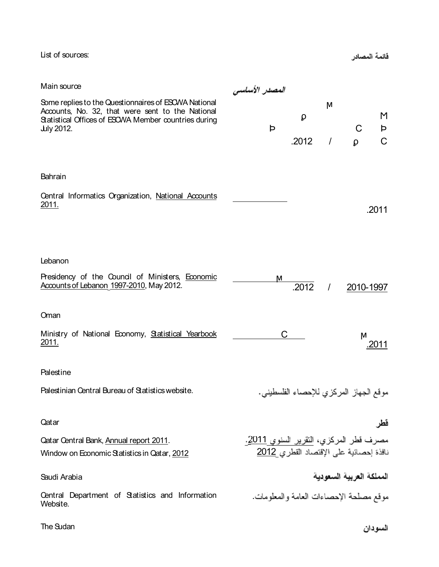List of sources:

فائمة المصادر

| Main source                                                                                                                                                                    | المصدر الأساسى                                                                                  |            |               |           |             |
|--------------------------------------------------------------------------------------------------------------------------------------------------------------------------------|-------------------------------------------------------------------------------------------------|------------|---------------|-----------|-------------|
| Some replies to the Questionnaires of ESCWA National<br>Accounts, No. 32, that were sent to the National<br>Statistical Offices of ESOWA Member countries during<br>July 2012. | Þ                                                                                               | ρ<br>.2012 | M<br>$\prime$ | C<br>Q    | M<br>Þ<br>C |
| Bahrain                                                                                                                                                                        |                                                                                                 |            |               |           |             |
| Central Informatics Organization, National Accounts<br>2011.                                                                                                                   |                                                                                                 |            |               |           | .2011       |
| Lebanon                                                                                                                                                                        |                                                                                                 |            |               |           |             |
| Presidency of the Council of Ministers, Economic<br>Accounts of Lebanon 1997-2010, May 2012.                                                                                   | М                                                                                               | .2012      | $\prime$      | 2010-1997 |             |
| Oman                                                                                                                                                                           |                                                                                                 |            |               |           |             |
| Ministry of National Economy, Statistical Yearbook<br>2011.                                                                                                                    | С                                                                                               |            |               | М         | .2011       |
| Palestine                                                                                                                                                                      |                                                                                                 |            |               |           |             |
| Palestinian Central Bureau of Statistics website.                                                                                                                              | موقع الجهاز المركزي للإحصاء الفلسطيني.                                                          |            |               |           |             |
| Qatar                                                                                                                                                                          |                                                                                                 |            |               |           | قطر         |
| Qatar Central Bank, Annual report 2011.<br>Window on Economic Statistics in Qatar, 2012                                                                                        | مصرف قطر المركزي، النقرير السنوي <u>2011</u> .<br>نافذة إحصائية على الإقتصاد القطري <u>2012</u> |            |               |           |             |
| المملكة العربية السعودية<br>Saudi Arabia                                                                                                                                       |                                                                                                 |            |               |           |             |
| Central Department of Statistics and Information<br>موقع مصلحة الإحصاءات العامة والمعلومات<br>Website.                                                                         |                                                                                                 |            |               |           |             |

The Sudan